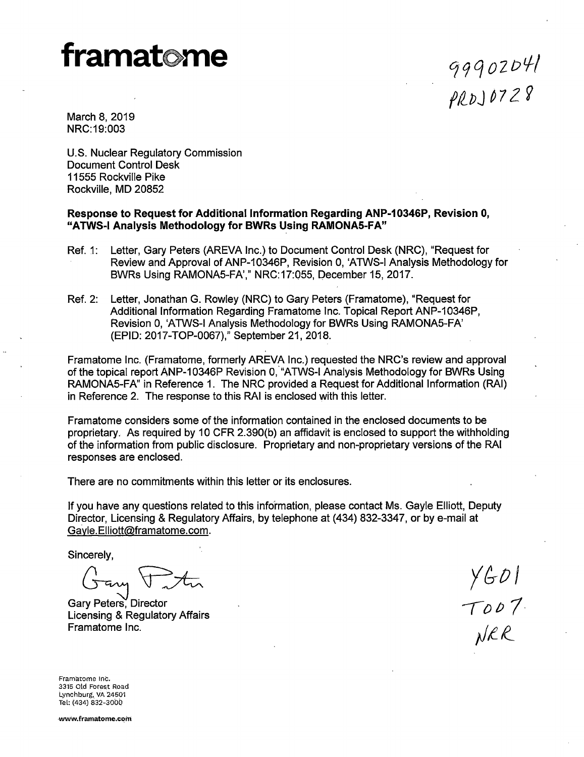# **framat me**

Cj' 9 q O 2 D *t.f* / *f/2\_PJ* ~ *7* 2 9

March 8, 2019 NRC:19:003

U.S. Nuclear Regulatory Commission Document Control Desk 11555 Rockville Pike Rockville, MD 20852

### **Response to Request for Additional Information Regarding ANP-10346P, Revision 0, "ATWS-1 Analysis Methodology for BWR.s Using RAMONAS-FA"**

- Ref. 1: Letter, Gary Peters (AREVA Inc.) to Document Control Desk (NRC), "Request for Review and Approval of ANP-10346P, Revision 0, 'ATWS-1 Analysis Methodology for BWRs Using RAMONA5-FA'," NRC:17:055, December 15, 2017.
- Ref. 2: Letter, Jonathan G. Rowley (NRC) to Gary Peters (Framatome), "Request for Additional Information Regarding Framatome Inc. Topical Report ANP-10346P, Revision 0, 'ATWS-1 Analysis Methodology for BWRs Using RAMONA5-FA' (EPID: 2017-TOP-0067)," September 21, 2018.

Framatome Inc. (Framatome, formerly AREVA Inc.) requested the NRC's review and approval of the topical report ANP-10346P Revision 0, "ATWS-I Analysis Methodology for BWRs Using RAMONA5-FA" in Reference 1. The NRC provided a Request for Additional Information (RAI) in Reference 2. The response to this RAI is enclosed with this letter.

Framatome considers some of the information contained in the enclosed documents to be proprietary. As required by 10 CFR 2.390(b) *an* affidavit is enclosed to support the withholding of the information from public disclosure. Proprietary and non-proprietary versions of the RAI responses are enclosed.

There are no commitments within this letter or its enclosures.

If you have any questions related to this information, please contact Ms. Gayle Elliott, Deputy Director, Licensing & Regulatory Affairs, by telephone at (434) 832-3347, or by e-mail at Gayle.Elliott@framatome.com.

Sincerely,

Gary <del>Post</del>

Licensing & Regulatory Affairs Framatome Inc.

 $YGDI$ <br>TODT

Framatome Inc. 3315 Old Forest Road Lynchburg, VA 24501 Tel: (434) 832-3000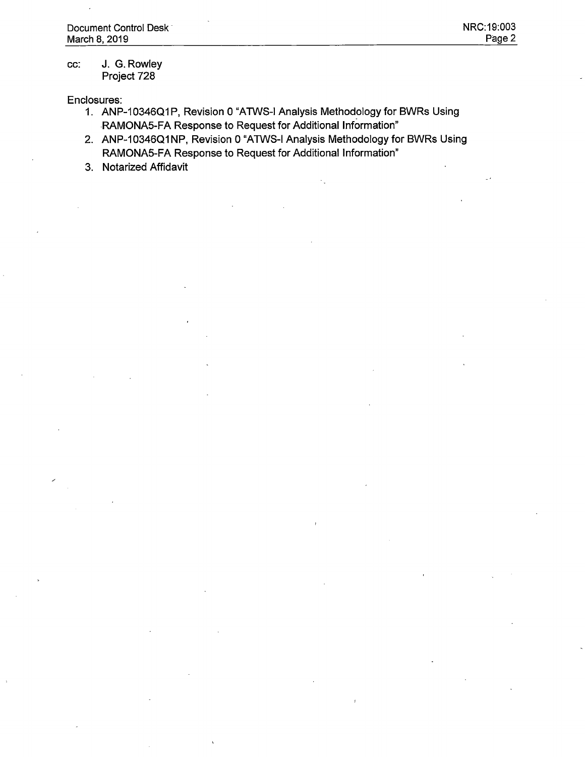#### cc: J. G. Rowley Project 728

Enclosures:

- 1. ANP-10346Q1P, Revision 0 "ATWS-I Analysis Methodology for BWRs Using -RAMONAS-FA Response to Request for Additional Information"
- 2. ANP-10346Q1NP, Revision 0 "ATWS-I Analysis Methodology for BWRs Using RAMONAS-FA Response to Request for Additional Information"
- 3. Notarized Affidavit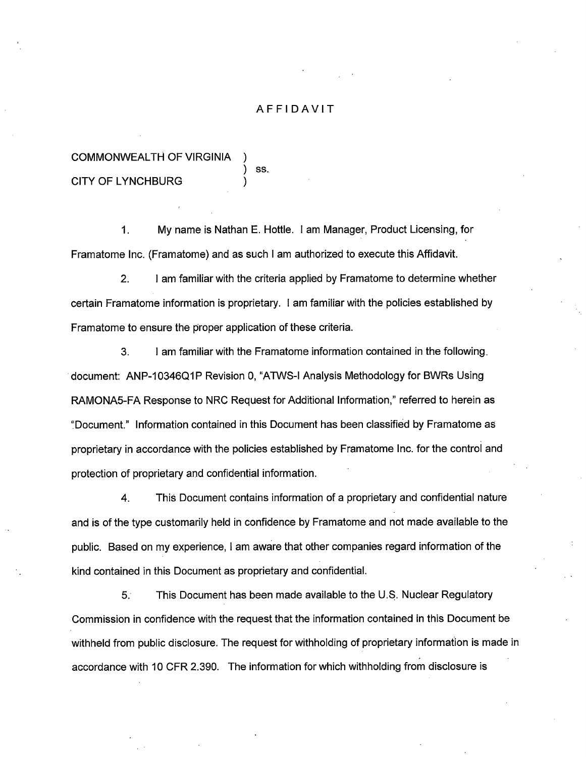## AFFIDAVIT

# COMMONWEALTH OF VIRGINIA CITY OF LYNCHBURG

) ss.

1. My name is Nathan E. Hottle. I am Manager, Product Licensing, for Framatome Inc. (Framatome) and as such I am authorized to execute this Affidavit.

2. I am familiar with the criteria applied by Framatome to determine whether certain Framatome information is proprietary. I am familiar with the policies established by Framatome to ensure the proper application of these criteria.

3. I am familiar with the Framatome information contained in the following. document: ANP-10346Q1P Revision 0, "ATWS-1 Analysis Methodology for BWRs Using RAMONA5-FA Response to NRC Request for Additional Information," referred to herein as '.'Document." Information contained in this Document has been classified by Framatome as proprietary in accordance with the policies established by Framatome Inc. for the control and protection of proprietary and confidential information.

4. This Document contains information of a proprietary and confidential nature and is of the type customarily held in confidence by Framatome and not made available to the public. Based on my experience, I am aware that other companies regard information of the kind contained in this Document as proprietary and confidential.

5. This Document has been made available to the U.\$. Nuclear Regulatory Commission in confidence with the request that the information contained in this Document be withheld from public disclosure. The request for withholding of proprietary information is made in accordance with 10 CFR 2.390. The information for which withholding from disclosure is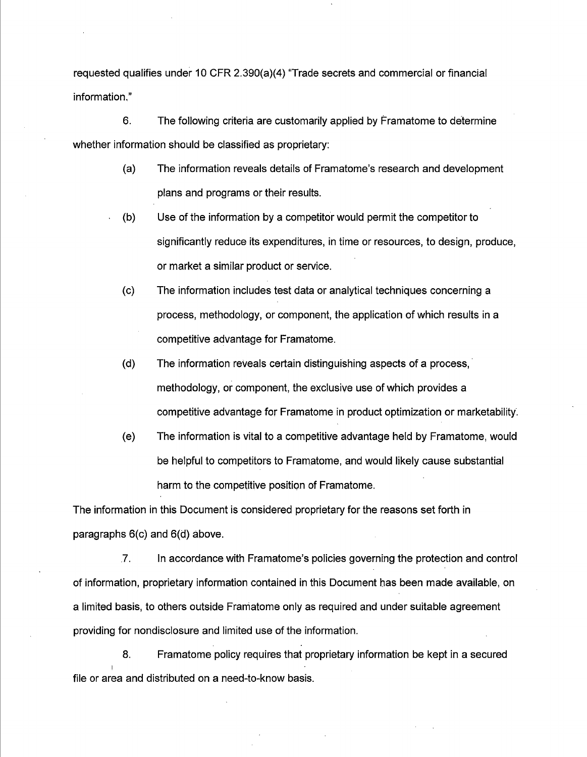requested qualifies under 10 CFR 2.390(a)(4) "Trade secrets and commercial or financial information."

6. The following criteria are customarily applied by Framatome to determine whether information should be classified as proprietary:

- (a) The information reveals details of Framatome's research and development plans and programs or their results.
- (b) Use of the information by a competitor would permit the competitor to significantly reduce its expenditures, in time or resources, to design, produce, or market a similar product or service.
- (c) The information includes test data or analytical techniques concerning a process, methodology, or component, the application of which results in a competitive advantage for Framatome.
- (d) The information reveals certain distinguishing aspects of a process, methodology, or component, the exclusive use of which provides a competitive advantage for Framatome in product optimization or marketability.
- (e) The information is vital to a competitive advantage held by Framatome, would be helpful to competitors to Framatome, and would likely cause substantial harm to the competitive position of Framatome.

The information in this Document is considered proprietary for the reasons set forth in paragraphs 6(c) and 6(d) above .

.7. In accordance with Framatome's policies governing the protection and control of information, proprietary information contained in this Document bas been made available, on a limited basis, to others outside Franiatome only as required and under suitable agreement providing for nondisclosure and limited use of the information.

8. Framatome policy requires that proprietary information be kept in a secured file or area and distributed on a need-to-know basis.